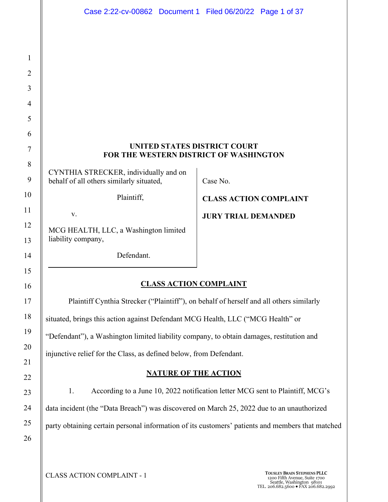| Case 2:22-cv-00862 Document 1 Filed 06/20/22 Page 1 of 37 |  |  |  |
|-----------------------------------------------------------|--|--|--|
|-----------------------------------------------------------|--|--|--|

## **UNITED STATES DISTRICT COURT FOR THE WESTERN DISTRICT OF WASHINGTON**

CYNTHIA STRECKER, individually and on behalf of all others similarly situated,

Plaintiff,

v.

MCG HEALTH, LLC, a Washington limited liability company,

Case No.

**CLASS ACTION COMPLAINT** 

**JURY TRIAL DEMANDED**

Defendant.

## **CLASS ACTION COMPLAINT**

Plaintiff Cynthia Strecker ("Plaintiff"), on behalf of herself and all others similarly situated, brings this action against Defendant MCG Health, LLC ("MCG Health" or "Defendant"), a Washington limited liability company, to obtain damages, restitution and injunctive relief for the Class, as defined below, from Defendant.

## **NATURE OF THE ACTION**

1. According to a June 10, 2022 notification letter MCG sent to Plaintiff, MCG's data incident (the "Data Breach") was discovered on March 25, 2022 due to an unauthorized party obtaining certain personal information of its customers' patients and members that matched

**CLASS ACTION COMPLAINT - 1 TOUSLEY BRAIN STEPHENS PLLC** 1200 Fifth Avenue, Suite 1700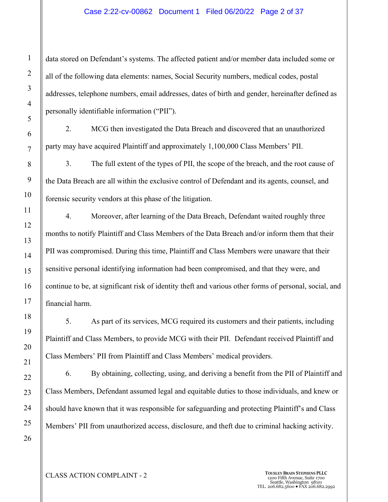#### Case 2:22-cv-00862 Document 1 Filed 06/20/22 Page 2 of 37

data stored on Defendant's systems. The affected patient and/or member data included some or all of the following data elements: names, Social Security numbers, medical codes, postal addresses, telephone numbers, email addresses, dates of birth and gender, hereinafter defined as personally identifiable information ("PII").

2. MCG then investigated the Data Breach and discovered that an unauthorized party may have acquired Plaintiff and approximately 1,100,000 Class Members' PII.

3. The full extent of the types of PII, the scope of the breach, and the root cause of the Data Breach are all within the exclusive control of Defendant and its agents, counsel, and forensic security vendors at this phase of the litigation.

4. Moreover, after learning of the Data Breach, Defendant waited roughly three months to notify Plaintiff and Class Members of the Data Breach and/or inform them that their PII was compromised. During this time, Plaintiff and Class Members were unaware that their sensitive personal identifying information had been compromised, and that they were, and continue to be, at significant risk of identity theft and various other forms of personal, social, and financial harm.

5. As part of its services, MCG required its customers and their patients, including Plaintiff and Class Members, to provide MCG with their PII. Defendant received Plaintiff and Class Members' PII from Plaintiff and Class Members' medical providers.

6. By obtaining, collecting, using, and deriving a benefit from the PII of Plaintiff and Class Members, Defendant assumed legal and equitable duties to those individuals, and knew or should have known that it was responsible for safeguarding and protecting Plaintiff's and Class Members' PII from unauthorized access, disclosure, and theft due to criminal hacking activity.

# **CLASS ACTION COMPLAINT - 2 TOUSLEY BRAIN STEPHENS PLLC** 1200 Fifth Avenue, Suite 1700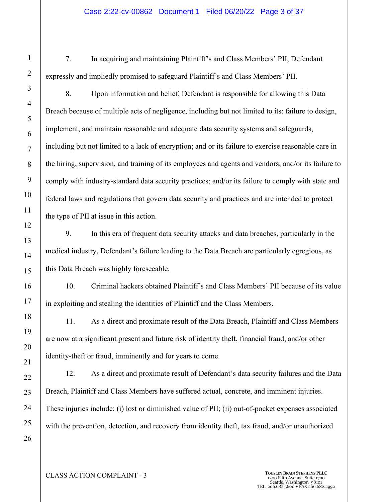## Case 2:22-cv-00862 Document 1 Filed 06/20/22 Page 3 of 37

7. In acquiring and maintaining Plaintiff's and Class Members' PII, Defendant expressly and impliedly promised to safeguard Plaintiff's and Class Members' PII.

8. Upon information and belief, Defendant is responsible for allowing this Data Breach because of multiple acts of negligence, including but not limited to its: failure to design, implement, and maintain reasonable and adequate data security systems and safeguards, including but not limited to a lack of encryption; and or its failure to exercise reasonable care in the hiring, supervision, and training of its employees and agents and vendors; and/or its failure to comply with industry-standard data security practices; and/or its failure to comply with state and federal laws and regulations that govern data security and practices and are intended to protect the type of PII at issue in this action.

9. In this era of frequent data security attacks and data breaches, particularly in the medical industry, Defendant's failure leading to the Data Breach are particularly egregious, as this Data Breach was highly foreseeable.

10. Criminal hackers obtained Plaintiff's and Class Members' PII because of its value in exploiting and stealing the identities of Plaintiff and the Class Members.

11. As a direct and proximate result of the Data Breach, Plaintiff and Class Members are now at a significant present and future risk of identity theft, financial fraud, and/or other identity-theft or fraud, imminently and for years to come.

12. As a direct and proximate result of Defendant's data security failures and the Data Breach, Plaintiff and Class Members have suffered actual, concrete, and imminent injuries. These injuries include: (i) lost or diminished value of PII; (ii) out-of-pocket expenses associated with the prevention, detection, and recovery from identity theft, tax fraud, and/or unauthorized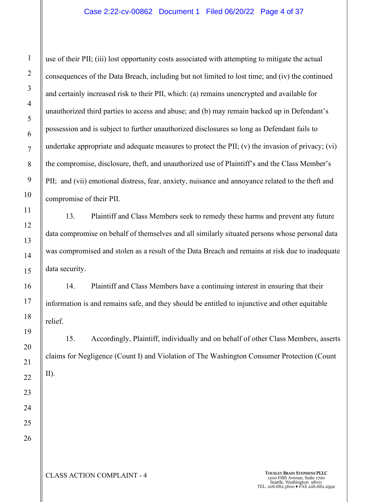#### Case 2:22-cv-00862 Document 1 Filed 06/20/22 Page 4 of 37

use of their PII; (iii) lost opportunity costs associated with attempting to mitigate the actual consequences of the Data Breach, including but not limited to lost time; and (iv) the continued and certainly increased risk to their PII, which: (a) remains unencrypted and available for unauthorized third parties to access and abuse; and (b) may remain backed up in Defendant's possession and is subject to further unauthorized disclosures so long as Defendant fails to undertake appropriate and adequate measures to protect the PII; (v) the invasion of privacy; (vi) the compromise, disclosure, theft, and unauthorized use of Plaintiff's and the Class Member's PII; and (vii) emotional distress, fear, anxiety, nuisance and annoyance related to the theft and compromise of their PII.

13. Plaintiff and Class Members seek to remedy these harms and prevent any future data compromise on behalf of themselves and all similarly situated persons whose personal data was compromised and stolen as a result of the Data Breach and remains at risk due to inadequate data security.

14. Plaintiff and Class Members have a continuing interest in ensuring that their information is and remains safe, and they should be entitled to injunctive and other equitable relief.

15. Accordingly, Plaintiff, individually and on behalf of other Class Members, asserts claims for Negligence (Count I) and Violation of The Washington Consumer Protection (Count II).

**CLASS ACTION COMPLAINT - 4 TOUSLEY BRAIN STEPHENS PLLC** 1200 Fifth Avenue, Suite 1700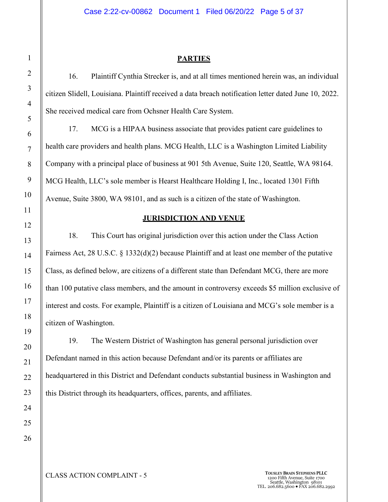## **PARTIES**

16. Plaintiff Cynthia Strecker is, and at all times mentioned herein was, an individual citizen Slidell, Louisiana. Plaintiff received a data breach notification letter dated June 10, 2022. She received medical care from Ochsner Health Care System.

17. MCG is a HIPAA business associate that provides patient care guidelines to health care providers and health plans. MCG Health, LLC is a Washington Limited Liability Company with a principal place of business at 901 5th Avenue, Suite 120, Seattle, WA 98164. MCG Health, LLC's sole member is Hearst Healthcare Holding I, Inc., located 1301 Fifth Avenue, Suite 3800, WA 98101, and as such is a citizen of the state of Washington.

## **JURISDICTION AND VENUE**

18. This Court has original jurisdiction over this action under the Class Action Fairness Act, 28 U.S.C. § 1332(d)(2) because Plaintiff and at least one member of the putative Class, as defined below, are citizens of a different state than Defendant MCG, there are more than 100 putative class members, and the amount in controversy exceeds \$5 million exclusive of interest and costs. For example, Plaintiff is a citizen of Louisiana and MCG's sole member is a citizen of Washington.

19. The Western District of Washington has general personal jurisdiction over Defendant named in this action because Defendant and/or its parents or affiliates are headquartered in this District and Defendant conducts substantial business in Washington and this District through its headquarters, offices, parents, and affiliates.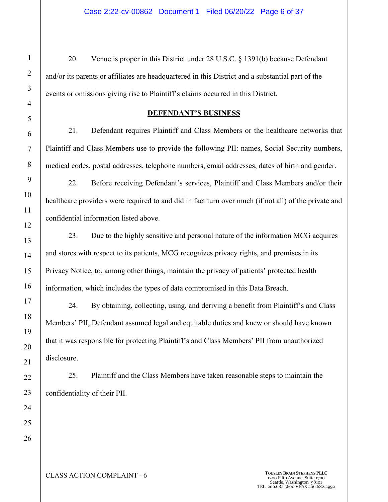20. Venue is proper in this District under 28 U.S.C. § 1391(b) because Defendant and/or its parents or affiliates are headquartered in this District and a substantial part of the events or omissions giving rise to Plaintiff's claims occurred in this District.

## **DEFENDANT'S BUSINESS**

21. Defendant requires Plaintiff and Class Members or the healthcare networks that Plaintiff and Class Members use to provide the following PII: names, Social Security numbers, medical codes, postal addresses, telephone numbers, email addresses, dates of birth and gender.

22. Before receiving Defendant's services, Plaintiff and Class Members and/or their healthcare providers were required to and did in fact turn over much (if not all) of the private and confidential information listed above.

23. Due to the highly sensitive and personal nature of the information MCG acquires and stores with respect to its patients, MCG recognizes privacy rights, and promises in its Privacy Notice, to, among other things, maintain the privacy of patients' protected health information, which includes the types of data compromised in this Data Breach.

24. By obtaining, collecting, using, and deriving a benefit from Plaintiff's and Class Members' PII, Defendant assumed legal and equitable duties and knew or should have known that it was responsible for protecting Plaintiff's and Class Members' PII from unauthorized disclosure.

25. Plaintiff and the Class Members have taken reasonable steps to maintain the confidentiality of their PII.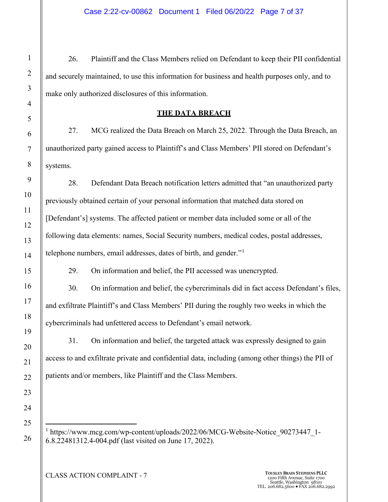26. Plaintiff and the Class Members relied on Defendant to keep their PII confidential and securely maintained, to use this information for business and health purposes only, and to make only authorized disclosures of this information.

## **THE DATA BREACH**

27. MCG realized the Data Breach on March 25, 2022. Through the Data Breach, an unauthorized party gained access to Plaintiff's and Class Members' PII stored on Defendant's systems.

28. Defendant Data Breach notification letters admitted that "an unauthorized party previously obtained certain of your personal information that matched data stored on [Defendant's] systems. The affected patient or member data included some or all of the following data elements: names, Social Security numbers, medical codes, postal addresses, telephone numbers, email addresses, dates of birth, and gender."<sup>1</sup>

29. On information and belief, the PII accessed was unencrypted.

30. On information and belief, the cybercriminals did in fact access Defendant's files, and exfiltrate Plaintiff's and Class Members' PII during the roughly two weeks in which the cybercriminals had unfettered access to Defendant's email network.

31. On information and belief, the targeted attack was expressly designed to gain access to and exfiltrate private and confidential data, including (among other things) the PII of patients and/or members, like Plaintiff and the Class Members.

<sup>1</sup> https://www.mcg.com/wp-content/uploads/2022/06/MCG-Website-Notice 90273447 1-6.8.22481312.4-004.pdf (last visited on June 17, 2022).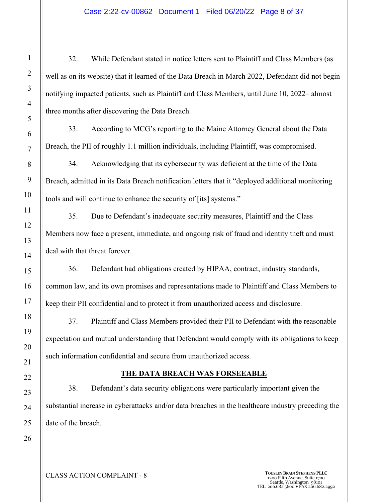32. While Defendant stated in notice letters sent to Plaintiff and Class Members (as well as on its website) that it learned of the Data Breach in March 2022, Defendant did not begin notifying impacted patients, such as Plaintiff and Class Members, until June 10, 2022– almost three months after discovering the Data Breach.

33. According to MCG's reporting to the Maine Attorney General about the Data Breach, the PII of roughly 1.1 million individuals, including Plaintiff, was compromised.

34. Acknowledging that its cybersecurity was deficient at the time of the Data Breach, admitted in its Data Breach notification letters that it "deployed additional monitoring tools and will continue to enhance the security of [its] systems."

35. Due to Defendant's inadequate security measures, Plaintiff and the Class Members now face a present, immediate, and ongoing risk of fraud and identity theft and must deal with that threat forever.

36. Defendant had obligations created by HIPAA, contract, industry standards, common law, and its own promises and representations made to Plaintiff and Class Members to keep their PII confidential and to protect it from unauthorized access and disclosure.

37. Plaintiff and Class Members provided their PII to Defendant with the reasonable expectation and mutual understanding that Defendant would comply with its obligations to keep such information confidential and secure from unauthorized access.

## **THE DATA BREACH WAS FORSEEABLE**

38. Defendant's data security obligations were particularly important given the substantial increase in cyberattacks and/or data breaches in the healthcare industry preceding the date of the breach.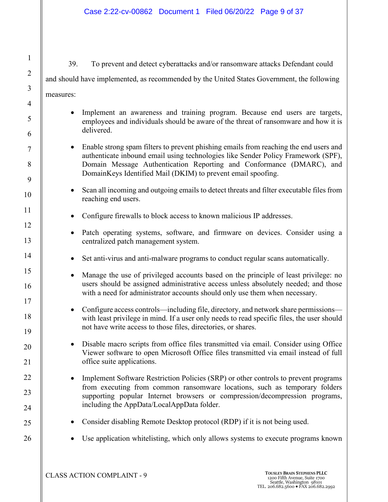2 3 4 5 6 8 10 12 13 14 15 16 17 18 19 20 21 22 23 24 25 26 39. To prevent and detect cyberattacks and/or ransomware attacks Defendant could and should have implemented, as recommended by the United States Government, the following measures: • Implement an awareness and training program. Because end users are targets, employees and individuals should be aware of the threat of ransomware and how it is delivered. • Enable strong spam filters to prevent phishing emails from reaching the end users and authenticate inbound email using technologies like Sender Policy Framework (SPF), Domain Message Authentication Reporting and Conformance (DMARC), and DomainKeys Identified Mail (DKIM) to prevent email spoofing. • Scan all incoming and outgoing emails to detect threats and filter executable files from reaching end users. • Configure firewalls to block access to known malicious IP addresses. • Patch operating systems, software, and firmware on devices. Consider using a centralized patch management system. Set anti-virus and anti-malware programs to conduct regular scans automatically. • Manage the use of privileged accounts based on the principle of least privilege: no users should be assigned administrative access unless absolutely needed; and those with a need for administrator accounts should only use them when necessary. • Configure access controls—including file, directory, and network share permissions with least privilege in mind. If a user only needs to read specific files, the user should not have write access to those files, directories, or shares. • Disable macro scripts from office files transmitted via email. Consider using Office Viewer software to open Microsoft Office files transmitted via email instead of full office suite applications. • Implement Software Restriction Policies (SRP) or other controls to prevent programs from executing from common ransomware locations, such as temporary folders supporting popular Internet browsers or compression/decompression programs, including the AppData/LocalAppData folder. • Consider disabling Remote Desktop protocol (RDP) if it is not being used. Use application whitelisting, which only allows systems to execute programs known

1

7

9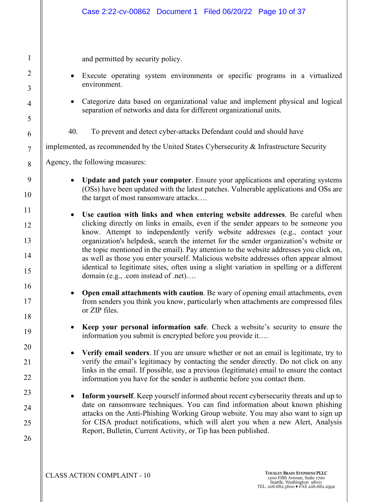| Case 2:22-cv-00862 Document 1 Filed 06/20/22 Page 10 of 37                                                                                                                                                                                                                                                                                                                                                                                                                                                                                                                                                                                                                   |
|------------------------------------------------------------------------------------------------------------------------------------------------------------------------------------------------------------------------------------------------------------------------------------------------------------------------------------------------------------------------------------------------------------------------------------------------------------------------------------------------------------------------------------------------------------------------------------------------------------------------------------------------------------------------------|
| and permitted by security policy.<br>Execute operating system environments or specific programs in a virtualized<br>environment.<br>Categorize data based on organizational value and implement physical and logical<br>$\bullet$<br>separation of networks and data for different organizational units.<br>40.<br>To prevent and detect cyber-attacks Defendant could and should have<br>implemented, as recommended by the United States Cybersecurity & Infrastructure Security<br>Agency, the following measures:<br><b>Update and patch your computer.</b> Ensure your applications and operating systems                                                               |
| (OSs) have been updated with the latest patches. Vulnerable applications and OSs are<br>the target of most ransomware attacks                                                                                                                                                                                                                                                                                                                                                                                                                                                                                                                                                |
| Use caution with links and when entering website addresses. Be careful when<br>$\bullet$<br>clicking directly on links in emails, even if the sender appears to be someone you<br>know. Attempt to independently verify website addresses (e.g., contact your<br>organization's helpdesk, search the internet for the sender organization's website or<br>the topic mentioned in the email). Pay attention to the website addresses you click on,<br>as well as those you enter yourself. Malicious website addresses often appear almost<br>identical to legitimate sites, often using a slight variation in spelling or a different<br>domain (e.g., .com instead of .net) |
| Open email attachments with caution. Be wary of opening email attachments, even<br>from senders you think you know, particularly when attachments are compressed files<br>or ZIP files.                                                                                                                                                                                                                                                                                                                                                                                                                                                                                      |
| Keep your personal information safe. Check a website's security to ensure the<br>information you submit is encrypted before you provide it                                                                                                                                                                                                                                                                                                                                                                                                                                                                                                                                   |
| Verify email senders. If you are unsure whether or not an email is legitimate, try to<br>$\bullet$<br>verify the email's legitimacy by contacting the sender directly. Do not click on any<br>links in the email. If possible, use a previous (legitimate) email to ensure the contact<br>information you have for the sender is authentic before you contact them.                                                                                                                                                                                                                                                                                                          |
| Inform yourself. Keep yourself informed about recent cybersecurity threats and up to<br>date on ransomware techniques. You can find information about known phishing<br>attacks on the Anti-Phishing Working Group website. You may also want to sign up<br>for CISA product notifications, which will alert you when a new Alert, Analysis<br>Report, Bulletin, Current Activity, or Tip has been published.                                                                                                                                                                                                                                                                |
|                                                                                                                                                                                                                                                                                                                                                                                                                                                                                                                                                                                                                                                                              |

1

2

3

4

5

6

7

8

9

10

11

12

13

14

15

16

17

18

19

20

21

22

23

24

25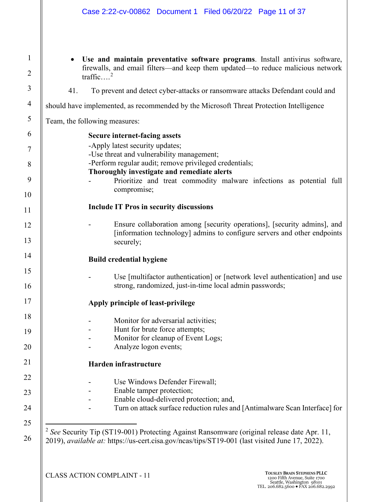1 2 3 4 5 6 7 8 9 10 11 12 13 14 15 16 17 18 19 20 21 22 23 24 25 26 • **Use and maintain preventative software programs**. Install antivirus software, firewalls, and email filters—and keep them updated—to reduce malicious network traffic... $^{2}$ 41. To prevent and detect cyber-attacks or ransomware attacks Defendant could and should have implemented, as recommended by the Microsoft Threat Protection Intelligence Team, the following measures: **Secure internet-facing assets** -Apply latest security updates; -Use threat and vulnerability management; -Perform regular audit; remove privileged credentials; **Thoroughly investigate and remediate alerts** Prioritize and treat commodity malware infections as potential full compromise; **Include IT Pros in security discussions** Ensure collaboration among [security operations], [security admins], and [information technology] admins to configure servers and other endpoints securely; **Build credential hygiene** Use [multifactor authentication] or [network level authentication] and use strong, randomized, just-in-time local admin passwords; **Apply principle of least-privilege** Monitor for adversarial activities; Hunt for brute force attempts; Monitor for cleanup of Event Logs; Analyze logon events; **Harden infrastructure** Use Windows Defender Firewall; - Enable tamper protection; - Enable cloud-delivered protection; and, Turn on attack surface reduction rules and [Antimalware Scan Interface] for <sup>2</sup> See Security Tip (ST19-001) Protecting Against Ransomware (original release date Apr. 11,

2019), *available at:* https://us-cert.cisa.gov/ncas/tips/ST19-001 (last visited June 17, 2022).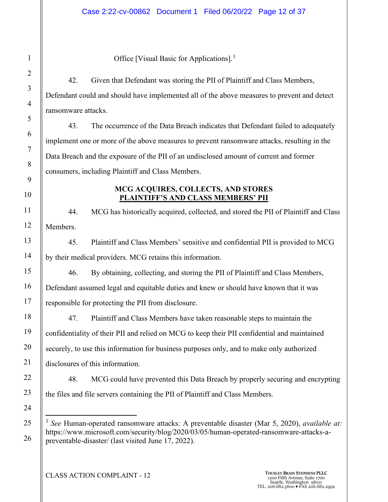Office [Visual Basic for Applications].<sup>3</sup>

42. Given that Defendant was storing the PII of Plaintiff and Class Members, Defendant could and should have implemented all of the above measures to prevent and detect ransomware attacks.

43. The occurrence of the Data Breach indicates that Defendant failed to adequately implement one or more of the above measures to prevent ransomware attacks, resulting in the Data Breach and the exposure of the PII of an undisclosed amount of current and former consumers, including Plaintiff and Class Members.

## **MCG ACQUIRES, COLLECTS, AND STORES PLAINTIFF'S AND CLASS MEMBERS' PII**

44. MCG has historically acquired, collected, and stored the PII of Plaintiff and Class Members.

45. Plaintiff and Class Members' sensitive and confidential PII is provided to MCG by their medical providers. MCG retains this information.

46. By obtaining, collecting, and storing the PII of Plaintiff and Class Members, Defendant assumed legal and equitable duties and knew or should have known that it was responsible for protecting the PII from disclosure.

47. Plaintiff and Class Members have taken reasonable steps to maintain the confidentiality of their PII and relied on MCG to keep their PII confidential and maintained securely, to use this information for business purposes only, and to make only authorized disclosures of this information.

48. MCG could have prevented this Data Breach by properly securing and encrypting the files and file servers containing the PII of Plaintiff and Class Members.

<sup>3</sup> *See* Human-operated ransomware attacks: A preventable disaster (Mar 5, 2020), *available at:*  https://www.microsoft.com/security/blog/2020/03/05/human-operated-ransomware-attacks-apreventable-disaster/ (last visited June 17, 2022).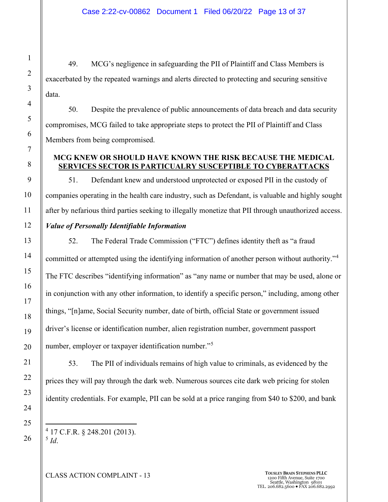49. MCG's negligence in safeguarding the PII of Plaintiff and Class Members is exacerbated by the repeated warnings and alerts directed to protecting and securing sensitive data.

50. Despite the prevalence of public announcements of data breach and data security compromises, MCG failed to take appropriate steps to protect the PII of Plaintiff and Class Members from being compromised.

## **MCG KNEW OR SHOULD HAVE KNOWN THE RISK BECAUSE THE MEDICAL SERVICES SECTOR IS PARTICUALRY SUSCEPTIBLE TO CYBERATTACKS**

51. Defendant knew and understood unprotected or exposed PII in the custody of companies operating in the health care industry, such as Defendant, is valuable and highly sought after by nefarious third parties seeking to illegally monetize that PII through unauthorized access. *Value of Personally Identifiable Information*

52. The Federal Trade Commission ("FTC") defines identity theft as "a fraud committed or attempted using the identifying information of another person without authority."<sup>4</sup> The FTC describes "identifying information" as "any name or number that may be used, alone or in conjunction with any other information, to identify a specific person," including, among other things, "[n]ame, Social Security number, date of birth, official State or government issued driver's license or identification number, alien registration number, government passport number, employer or taxpayer identification number."<sup>5</sup>

53. The PII of individuals remains of high value to criminals, as evidenced by the prices they will pay through the dark web. Numerous sources cite dark web pricing for stolen identity credentials. For example, PII can be sold at a price ranging from \$40 to \$200, and bank

4 17 C.F.R. § 248.201 (2013). <sup>5</sup> *Id*.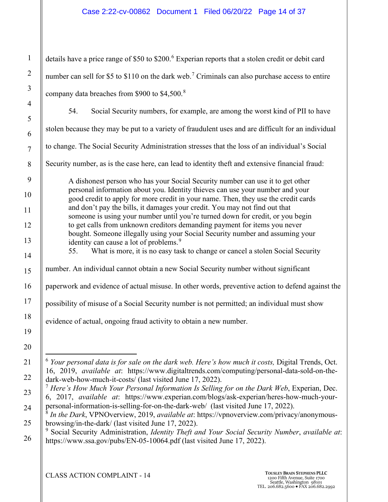## Case 2:22-cv-00862 Document 1 Filed 06/20/22 Page 14 of 37

details have a price range of \$50 to \$200.<sup>6</sup> Experian reports that a stolen credit or debit card number can sell for \$5 to \$110 on the dark web.<sup>7</sup> Criminals can also purchase access to entire company data breaches from \$900 to \$4,500.<sup>8</sup>

54. Social Security numbers, for example, are among the worst kind of PII to have stolen because they may be put to a variety of fraudulent uses and are difficult for an individual to change. The Social Security Administration stresses that the loss of an individual's Social Security number, as is the case here, can lead to identity theft and extensive financial fraud: A dishonest person who has your Social Security number can use it to get other personal information about you. Identity thieves can use your number and your good credit to apply for more credit in your name. Then, they use the credit cards and don't pay the bills, it damages your credit. You may not find out that someone is using your number until you're turned down for credit, or you begin to get calls from unknown creditors demanding payment for items you never bought. Someone illegally using your Social Security number and assuming your identity can cause a lot of problems.<sup>9</sup> 55. What is more, it is no easy task to change or cancel a stolen Social Security number. An individual cannot obtain a new Social Security number without significant paperwork and evidence of actual misuse. In other words, preventive action to defend against the possibility of misuse of a Social Security number is not permitted; an individual must show evidence of actual, ongoing fraud activity to obtain a new number. <sup>6</sup> *Your personal data is for sale on the dark web. Here's how much it costs, Digital Trends, Oct.* 16, 2019, *available at*: https://www.digitaltrends.com/computing/personal-data-sold-on-the-

dark-web-how-much-it-costs/ (last visited June 17, 2022).

<sup>7</sup> *Here's How Much Your Personal Information Is Selling for on the Dark Web*, Experian, Dec. 6, 2017, *available at*: https://www.experian.com/blogs/ask-experian/heres-how-much-yourpersonal-information-is-selling-for-on-the-dark-web/ (last visited June 17, 2022).

<sup>8</sup> *In the Dark*, VPNOverview, 2019, *available at*: https://vpnoverview.com/privacy/anonymousbrowsing/in-the-dark/ (last visited June 17, 2022).

<sup>9</sup> Social Security Administration, *Identity Theft and Your Social Security Number*, *available at*: https://www.ssa.gov/pubs/EN-05-10064.pdf (last visited June 17, 2022).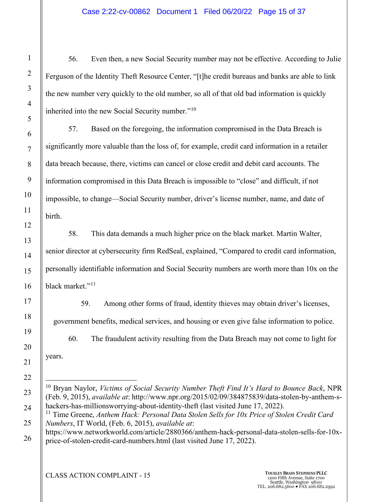## Case 2:22-cv-00862 Document 1 Filed 06/20/22 Page 15 of 37

56. Even then, a new Social Security number may not be effective. According to Julie Ferguson of the Identity Theft Resource Center, "[t]he credit bureaus and banks are able to link the new number very quickly to the old number, so all of that old bad information is quickly inherited into the new Social Security number."<sup>10</sup>

57. Based on the foregoing, the information compromised in the Data Breach is significantly more valuable than the loss of, for example, credit card information in a retailer data breach because, there, victims can cancel or close credit and debit card accounts. The information compromised in this Data Breach is impossible to "close" and difficult, if not impossible, to change—Social Security number, driver's license number, name, and date of birth.

58. This data demands a much higher price on the black market. Martin Walter, senior director at cybersecurity firm RedSeal, explained, "Compared to credit card information, personally identifiable information and Social Security numbers are worth more than 10x on the black market."<sup>11</sup>

59. Among other forms of fraud, identity thieves may obtain driver's licenses, government benefits, medical services, and housing or even give false information to police.

60. The fraudulent activity resulting from the Data Breach may not come to light for years.

<sup>10</sup> Bryan Naylor, *Victims of Social Security Number Theft Find It's Hard to Bounce Back*, NPR (Feb. 9, 2015), *available at*: http://www.npr.org/2015/02/09/384875839/data-stolen-by-anthem-shackers-has-millionsworrying-about-identity-theft (last visited June 17, 2022).

<sup>&</sup>lt;sup>11</sup> Time Greene, *Anthem Hack: Personal Data Stolen Sells for 10x Price of Stolen Credit Card Numbers*, IT World, (Feb. 6, 2015), *available at*:

https://www.networkworld.com/article/2880366/anthem-hack-personal-data-stolen-sells-for-10xprice-of-stolen-credit-card-numbers.html (last visited June 17, 2022).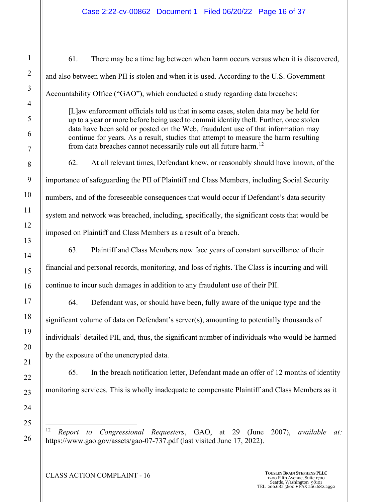61. There may be a time lag between when harm occurs versus when it is discovered, and also between when PII is stolen and when it is used. According to the U.S. Government Accountability Office ("GAO"), which conducted a study regarding data breaches: [L]aw enforcement officials told us that in some cases, stolen data may be held for up to a year or more before being used to commit identity theft. Further, once stolen data have been sold or posted on the Web, fraudulent use of that information may continue for years. As a result, studies that attempt to measure the harm resulting from data breaches cannot necessarily rule out all future harm.<sup>12</sup> 62. At all relevant times, Defendant knew, or reasonably should have known, of the importance of safeguarding the PII of Plaintiff and Class Members, including Social Security numbers, and of the foreseeable consequences that would occur if Defendant's data security system and network was breached, including, specifically, the significant costs that would be imposed on Plaintiff and Class Members as a result of a breach. 63. Plaintiff and Class Members now face years of constant surveillance of their financial and personal records, monitoring, and loss of rights. The Class is incurring and will continue to incur such damages in addition to any fraudulent use of their PII.

64. Defendant was, or should have been, fully aware of the unique type and the significant volume of data on Defendant's server(s), amounting to potentially thousands of individuals' detailed PII, and, thus, the significant number of individuals who would be harmed by the exposure of the unencrypted data.

65. In the breach notification letter, Defendant made an offer of 12 months of identity monitoring services. This is wholly inadequate to compensate Plaintiff and Class Members as it

<sup>12</sup> *Report to Congressional Requesters*, GAO, at 29 (June 2007), *available at:*  https://www.gao.gov/assets/gao-07-737.pdf (last visited June 17, 2022).

**CLASS ACTION COMPLAINT - 16 TOUSLEY BRAIN STEPHENS PLLC** 1200 Fifth Avenue, Suite 1700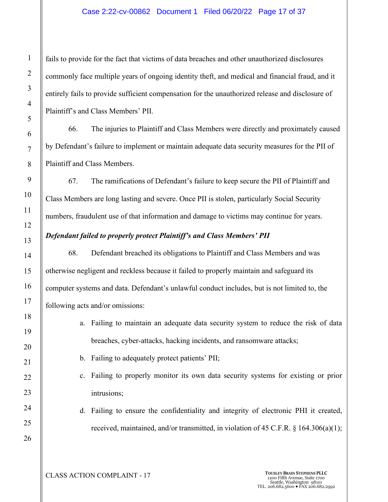## Case 2:22-cv-00862 Document 1 Filed 06/20/22 Page 17 of 37

fails to provide for the fact that victims of data breaches and other unauthorized disclosures commonly face multiple years of ongoing identity theft, and medical and financial fraud, and it entirely fails to provide sufficient compensation for the unauthorized release and disclosure of Plaintiff's and Class Members' PII.

66. The injuries to Plaintiff and Class Members were directly and proximately caused by Defendant's failure to implement or maintain adequate data security measures for the PII of Plaintiff and Class Members.

67. The ramifications of Defendant's failure to keep secure the PII of Plaintiff and Class Members are long lasting and severe. Once PII is stolen, particularly Social Security numbers, fraudulent use of that information and damage to victims may continue for years.

## *Defendant failed to properly protect Plaintiff's and Class Members' PII*

68. Defendant breached its obligations to Plaintiff and Class Members and was otherwise negligent and reckless because it failed to properly maintain and safeguard its computer systems and data. Defendant's unlawful conduct includes, but is not limited to, the following acts and/or omissions:

- a. Failing to maintain an adequate data security system to reduce the risk of data breaches, cyber-attacks, hacking incidents, and ransomware attacks;
- b. Failing to adequately protect patients' PII;
- c. Failing to properly monitor its own data security systems for existing or prior intrusions;
- d. Failing to ensure the confidentiality and integrity of electronic PHI it created, received, maintained, and/or transmitted, in violation of 45 C.F.R.  $\S$  164.306(a)(1);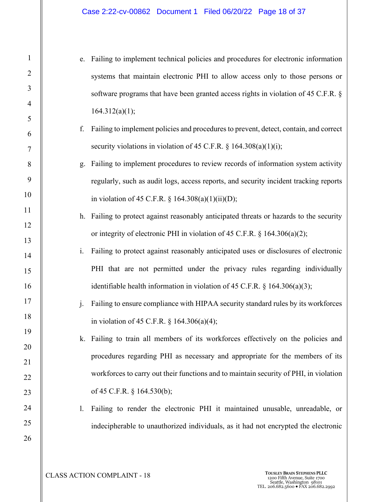- e. Failing to implement technical policies and procedures for electronic information systems that maintain electronic PHI to allow access only to those persons or software programs that have been granted access rights in violation of 45 C.F.R. §  $164.312(a)(1);$
- f. Failing to implement policies and procedures to prevent, detect, contain, and correct security violations in violation of 45 C.F.R. § 164.308(a)(1)(i);
- g. Failing to implement procedures to review records of information system activity regularly, such as audit logs, access reports, and security incident tracking reports in violation of 45 C.F.R.  $\S$  164.308(a)(1)(ii)(D);
- h. Failing to protect against reasonably anticipated threats or hazards to the security or integrity of electronic PHI in violation of 45 C.F.R. § 164.306(a)(2);
- i. Failing to protect against reasonably anticipated uses or disclosures of electronic PHI that are not permitted under the privacy rules regarding individually identifiable health information in violation of 45 C.F.R.  $\S$  164.306(a)(3);
- j. Failing to ensure compliance with HIPAA security standard rules by its workforces in violation of 45 C.F.R. § 164.306(a)(4);
- k. Failing to train all members of its workforces effectively on the policies and procedures regarding PHI as necessary and appropriate for the members of its workforces to carry out their functions and to maintain security of PHI, in violation of 45 C.F.R. § 164.530(b);
- l. Failing to render the electronic PHI it maintained unusable, unreadable, or indecipherable to unauthorized individuals, as it had not encrypted the electronic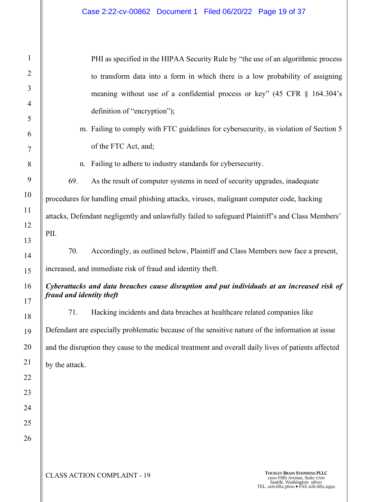#### Case 2:22-cv-00862 Document 1 Filed 06/20/22 Page 19 of 37

PHI as specified in the HIPAA Security Rule by "the use of an algorithmic process to transform data into a form in which there is a low probability of assigning meaning without use of a confidential process or key" (45 CFR § 164.304's definition of "encryption");

- m. Failing to comply with FTC guidelines for cybersecurity, in violation of Section 5 of the FTC Act, and;
- n. Failing to adhere to industry standards for cybersecurity.

69. As the result of computer systems in need of security upgrades, inadequate procedures for handling email phishing attacks, viruses, malignant computer code, hacking attacks, Defendant negligently and unlawfully failed to safeguard Plaintiff's and Class Members' PII.

70. Accordingly, as outlined below, Plaintiff and Class Members now face a present, increased, and immediate risk of fraud and identity theft.

## *Cyberattacks and data breaches cause disruption and put individuals at an increased risk of fraud and identity theft*

71. Hacking incidents and data breaches at healthcare related companies like Defendant are especially problematic because of the sensitive nature of the information at issue and the disruption they cause to the medical treatment and overall daily lives of patients affected by the attack.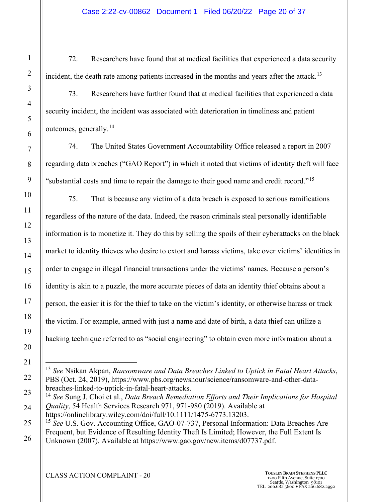72. Researchers have found that at medical facilities that experienced a data security incident, the death rate among patients increased in the months and years after the attack.<sup>13</sup>

73. Researchers have further found that at medical facilities that experienced a data security incident, the incident was associated with deterioration in timeliness and patient outcomes, generally.<sup>14</sup>

74. The United States Government Accountability Office released a report in 2007 regarding data breaches ("GAO Report") in which it noted that victims of identity theft will face "substantial costs and time to repair the damage to their good name and credit record."<sup>15</sup>

75. That is because any victim of a data breach is exposed to serious ramifications regardless of the nature of the data. Indeed, the reason criminals steal personally identifiable information is to monetize it. They do this by selling the spoils of their cyberattacks on the black market to identity thieves who desire to extort and harass victims, take over victims' identities in order to engage in illegal financial transactions under the victims' names. Because a person's identity is akin to a puzzle, the more accurate pieces of data an identity thief obtains about a person, the easier it is for the thief to take on the victim's identity, or otherwise harass or track the victim. For example, armed with just a name and date of birth, a data thief can utilize a hacking technique referred to as "social engineering" to obtain even more information about a

<sup>13</sup> *See* Nsikan Akpan, *Ransomware and Data Breaches Linked to Uptick in Fatal Heart Attacks*, PBS (Oct. 24, 2019), https://www.pbs.org/newshour/science/ransomware-and-other-databreaches-linked-to-uptick-in-fatal-heart-attacks.

<sup>14</sup> *See* Sung J. Choi et al., *Data Breach Remediation Efforts and Their Implications for Hospital Quality*, 54 Health Services Research 971, 971-980 (2019). Available at https://onlinelibrary.wiley.com/doi/full/10.1111/1475-6773.13203.

<sup>&</sup>lt;sup>15</sup> See U.S. Gov. Accounting Office, GAO-07-737, Personal Information: Data Breaches Are Frequent, but Evidence of Resulting Identity Theft Is Limited; However, the Full Extent Is Unknown (2007). Available at https://www.gao.gov/new.items/d07737.pdf.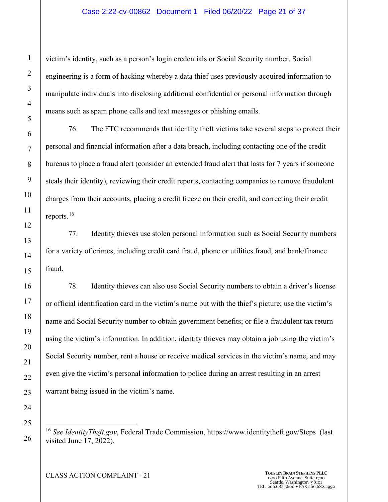victim's identity, such as a person's login credentials or Social Security number. Social engineering is a form of hacking whereby a data thief uses previously acquired information to manipulate individuals into disclosing additional confidential or personal information through means such as spam phone calls and text messages or phishing emails.

76. The FTC recommends that identity theft victims take several steps to protect their personal and financial information after a data breach, including contacting one of the credit bureaus to place a fraud alert (consider an extended fraud alert that lasts for 7 years if someone steals their identity), reviewing their credit reports, contacting companies to remove fraudulent charges from their accounts, placing a credit freeze on their credit, and correcting their credit reports.<sup>16</sup>

77. Identity thieves use stolen personal information such as Social Security numbers for a variety of crimes, including credit card fraud, phone or utilities fraud, and bank/finance fraud.

78. Identity thieves can also use Social Security numbers to obtain a driver's license or official identification card in the victim's name but with the thief's picture; use the victim's name and Social Security number to obtain government benefits; or file a fraudulent tax return using the victim's information. In addition, identity thieves may obtain a job using the victim's Social Security number, rent a house or receive medical services in the victim's name, and may even give the victim's personal information to police during an arrest resulting in an arrest warrant being issued in the victim's name.

<sup>16</sup> *See IdentityTheft.gov*, Federal Trade Commission, https://www.identitytheft.gov/Steps (last visited June 17, 2022).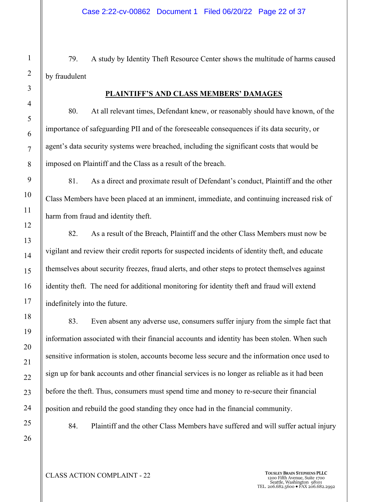79. A study by Identity Theft Resource Center shows the multitude of harms caused by fraudulent

#### **PLAINTIFF'S AND CLASS MEMBERS' DAMAGES**

80. At all relevant times, Defendant knew, or reasonably should have known, of the importance of safeguarding PII and of the foreseeable consequences if its data security, or agent's data security systems were breached, including the significant costs that would be imposed on Plaintiff and the Class as a result of the breach.

81. As a direct and proximate result of Defendant's conduct, Plaintiff and the other Class Members have been placed at an imminent, immediate, and continuing increased risk of harm from fraud and identity theft.

82. As a result of the Breach, Plaintiff and the other Class Members must now be vigilant and review their credit reports for suspected incidents of identity theft, and educate themselves about security freezes, fraud alerts, and other steps to protect themselves against identity theft. The need for additional monitoring for identity theft and fraud will extend indefinitely into the future.

83. Even absent any adverse use, consumers suffer injury from the simple fact that information associated with their financial accounts and identity has been stolen. When such sensitive information is stolen, accounts become less secure and the information once used to sign up for bank accounts and other financial services is no longer as reliable as it had been before the theft. Thus, consumers must spend time and money to re-secure their financial position and rebuild the good standing they once had in the financial community.

84. Plaintiff and the other Class Members have suffered and will suffer actual injury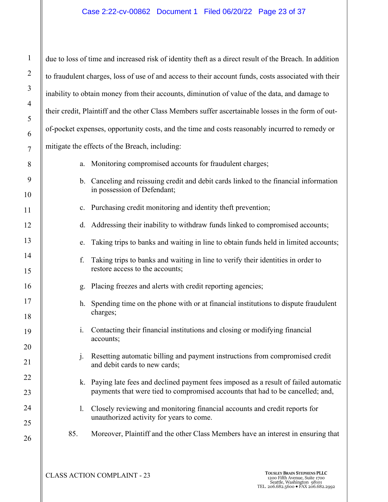# Case 2:22-cv-00862 Document 1 Filed 06/20/22 Page 23 of 37

| $\mathbf{1}$            | due to loss of time and increased risk of identity theft as a direct result of the Breach. In addition |                                                                                                                                                                         |  |  |  |
|-------------------------|--------------------------------------------------------------------------------------------------------|-------------------------------------------------------------------------------------------------------------------------------------------------------------------------|--|--|--|
| $\overline{\mathbf{c}}$ | to fraudulent charges, loss of use of and access to their account funds, costs associated with their   |                                                                                                                                                                         |  |  |  |
| $\overline{\mathbf{3}}$ | inability to obtain money from their accounts, diminution of value of the data, and damage to          |                                                                                                                                                                         |  |  |  |
| 4                       | their credit, Plaintiff and the other Class Members suffer ascertainable losses in the form of out-    |                                                                                                                                                                         |  |  |  |
| 5<br>6                  | of-pocket expenses, opportunity costs, and the time and costs reasonably incurred to remedy or         |                                                                                                                                                                         |  |  |  |
| 7                       | mitigate the effects of the Breach, including:                                                         |                                                                                                                                                                         |  |  |  |
| 8                       | a.                                                                                                     | Monitoring compromised accounts for fraudulent charges;                                                                                                                 |  |  |  |
| 9                       |                                                                                                        | b. Canceling and reissuing credit and debit cards linked to the financial information                                                                                   |  |  |  |
| $\overline{0}$          |                                                                                                        | in possession of Defendant;                                                                                                                                             |  |  |  |
| $\mathbf{1}$            |                                                                                                        | c. Purchasing credit monitoring and identity theft prevention;                                                                                                          |  |  |  |
| $\overline{\mathbf{c}}$ | d.                                                                                                     | Addressing their inability to withdraw funds linked to compromised accounts;                                                                                            |  |  |  |
| $\overline{\mathbf{3}}$ | e.                                                                                                     | Taking trips to banks and waiting in line to obtain funds held in limited accounts;                                                                                     |  |  |  |
| 4<br>5                  | f.                                                                                                     | Taking trips to banks and waiting in line to verify their identities in order to<br>restore access to the accounts;                                                     |  |  |  |
| 6                       | g.                                                                                                     | Placing freezes and alerts with credit reporting agencies;                                                                                                              |  |  |  |
| 7                       | h.                                                                                                     | Spending time on the phone with or at financial institutions to dispute fraudulent<br>charges;                                                                          |  |  |  |
| 8<br>9                  | 1.                                                                                                     | Contacting their financial institutions and closing or modifying financial                                                                                              |  |  |  |
| $\overline{0}$          |                                                                                                        | accounts;                                                                                                                                                               |  |  |  |
| $\mathbf{1}$            | $\mathbf{j}$ .                                                                                         | Resetting automatic billing and payment instructions from compromised credit<br>and debit cards to new cards;                                                           |  |  |  |
| $\overline{\mathbf{c}}$ |                                                                                                        |                                                                                                                                                                         |  |  |  |
| 3                       |                                                                                                        | k. Paying late fees and declined payment fees imposed as a result of failed automatic<br>payments that were tied to compromised accounts that had to be cancelled; and, |  |  |  |
| 4                       | 1.                                                                                                     | Closely reviewing and monitoring financial accounts and credit reports for                                                                                              |  |  |  |
| 5                       |                                                                                                        | unauthorized activity for years to come.                                                                                                                                |  |  |  |
| 6                       | 85.                                                                                                    | Moreover, Plaintiff and the other Class Members have an interest in ensuring that                                                                                       |  |  |  |
|                         |                                                                                                        |                                                                                                                                                                         |  |  |  |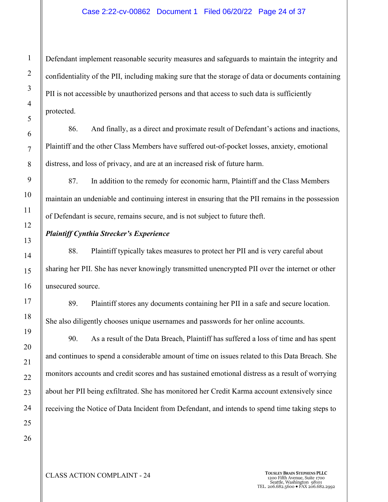## Case 2:22-cv-00862 Document 1 Filed 06/20/22 Page 24 of 37

Defendant implement reasonable security measures and safeguards to maintain the integrity and confidentiality of the PII, including making sure that the storage of data or documents containing PII is not accessible by unauthorized persons and that access to such data is sufficiently protected.

86. And finally, as a direct and proximate result of Defendant's actions and inactions, Plaintiff and the other Class Members have suffered out-of-pocket losses, anxiety, emotional distress, and loss of privacy, and are at an increased risk of future harm.

87. In addition to the remedy for economic harm, Plaintiff and the Class Members maintain an undeniable and continuing interest in ensuring that the PII remains in the possession of Defendant is secure, remains secure, and is not subject to future theft.

## *Plaintiff Cynthia Strecker's Experience*

88. Plaintiff typically takes measures to protect her PII and is very careful about sharing her PII. She has never knowingly transmitted unencrypted PII over the internet or other unsecured source.

89. Plaintiff stores any documents containing her PII in a safe and secure location. She also diligently chooses unique usernames and passwords for her online accounts.

90. As a result of the Data Breach, Plaintiff has suffered a loss of time and has spent and continues to spend a considerable amount of time on issues related to this Data Breach. She monitors accounts and credit scores and has sustained emotional distress as a result of worrying about her PII being exfiltrated. She has monitored her Credit Karma account extensively since receiving the Notice of Data Incident from Defendant, and intends to spend time taking steps to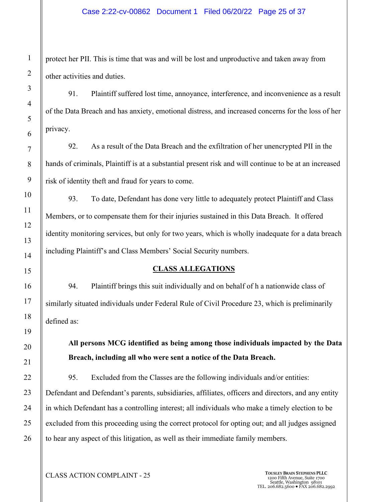## Case 2:22-cv-00862 Document 1 Filed 06/20/22 Page 25 of 37

protect her PII. This is time that was and will be lost and unproductive and taken away from other activities and duties.

91. Plaintiff suffered lost time, annoyance, interference, and inconvenience as a result of the Data Breach and has anxiety, emotional distress, and increased concerns for the loss of her privacy.

92. As a result of the Data Breach and the exfiltration of her unencrypted PII in the hands of criminals, Plaintiff is at a substantial present risk and will continue to be at an increased risk of identity theft and fraud for years to come.

93. To date, Defendant has done very little to adequately protect Plaintiff and Class Members, or to compensate them for their injuries sustained in this Data Breach. It offered identity monitoring services, but only for two years, which is wholly inadequate for a data breach including Plaintiff's and Class Members' Social Security numbers.

## **CLASS ALLEGATIONS**

94. Plaintiff brings this suit individually and on behalf of h a nationwide class of similarly situated individuals under Federal Rule of Civil Procedure 23, which is preliminarily defined as:

**All persons MCG identified as being among those individuals impacted by the Data Breach, including all who were sent a notice of the Data Breach.**

95. Excluded from the Classes are the following individuals and/or entities: Defendant and Defendant's parents, subsidiaries, affiliates, officers and directors, and any entity in which Defendant has a controlling interest; all individuals who make a timely election to be excluded from this proceeding using the correct protocol for opting out; and all judges assigned to hear any aspect of this litigation, as well as their immediate family members.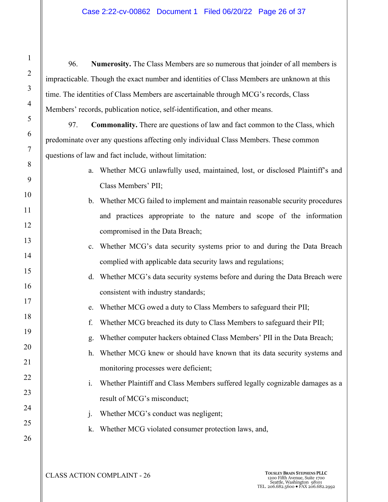## Case 2:22-cv-00862 Document 1 Filed 06/20/22 Page 26 of 37

96. **Numerosity.** The Class Members are so numerous that joinder of all members is impracticable. Though the exact number and identities of Class Members are unknown at this time. The identities of Class Members are ascertainable through MCG's records, Class Members' records, publication notice, self-identification, and other means.

97. **Commonality.** There are questions of law and fact common to the Class, which predominate over any questions affecting only individual Class Members. These common questions of law and fact include, without limitation:

- a. Whether MCG unlawfully used, maintained, lost, or disclosed Plaintiff's and Class Members' PII;
- b. Whether MCG failed to implement and maintain reasonable security procedures and practices appropriate to the nature and scope of the information compromised in the Data Breach;
- c. Whether MCG's data security systems prior to and during the Data Breach complied with applicable data security laws and regulations;
- d. Whether MCG's data security systems before and during the Data Breach were consistent with industry standards;
	- e. Whether MCG owed a duty to Class Members to safeguard their PII;
	- f. Whether MCG breached its duty to Class Members to safeguard their PII;
	- g. Whether computer hackers obtained Class Members' PII in the Data Breach;
- h. Whether MCG knew or should have known that its data security systems and monitoring processes were deficient;
- i. Whether Plaintiff and Class Members suffered legally cognizable damages as a result of MCG's misconduct;
	- j. Whether MCG's conduct was negligent;
	- k. Whether MCG violated consumer protection laws, and,

1

2

3

4

5

6

7

8

9

10

11

12

13

14

15

16

17

18

19

20

21

22

23

24

25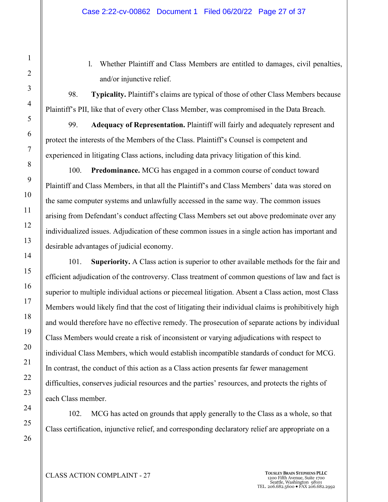l. Whether Plaintiff and Class Members are entitled to damages, civil penalties, and/or injunctive relief.

98. **Typicality.** Plaintiff's claims are typical of those of other Class Members because Plaintiff's PII, like that of every other Class Member, was compromised in the Data Breach.

99. **Adequacy of Representation.** Plaintiff will fairly and adequately represent and protect the interests of the Members of the Class. Plaintiff's Counsel is competent and experienced in litigating Class actions, including data privacy litigation of this kind.

100. **Predominance.** MCG has engaged in a common course of conduct toward Plaintiff and Class Members, in that all the Plaintiff's and Class Members' data was stored on the same computer systems and unlawfully accessed in the same way. The common issues arising from Defendant's conduct affecting Class Members set out above predominate over any individualized issues. Adjudication of these common issues in a single action has important and desirable advantages of judicial economy.

101. **Superiority.** A Class action is superior to other available methods for the fair and efficient adjudication of the controversy. Class treatment of common questions of law and fact is superior to multiple individual actions or piecemeal litigation. Absent a Class action, most Class Members would likely find that the cost of litigating their individual claims is prohibitively high and would therefore have no effective remedy. The prosecution of separate actions by individual Class Members would create a risk of inconsistent or varying adjudications with respect to individual Class Members, which would establish incompatible standards of conduct for MCG. In contrast, the conduct of this action as a Class action presents far fewer management difficulties, conserves judicial resources and the parties' resources, and protects the rights of each Class member.

102. MCG has acted on grounds that apply generally to the Class as a whole, so that Class certification, injunctive relief, and corresponding declaratory relief are appropriate on a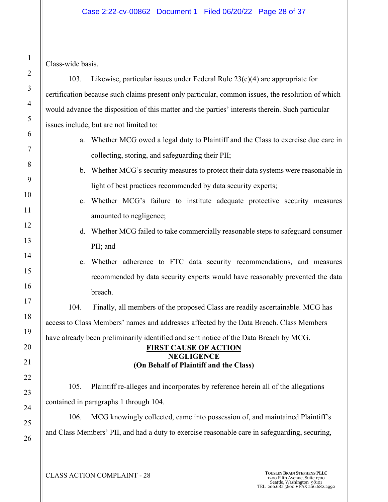## Case 2:22-cv-00862 Document 1 Filed 06/20/22 Page 28 of 37

Class-wide basis.

103. Likewise, particular issues under Federal Rule 23(c)(4) are appropriate for certification because such claims present only particular, common issues, the resolution of which would advance the disposition of this matter and the parties' interests therein. Such particular issues include, but are not limited to:

- a. Whether MCG owed a legal duty to Plaintiff and the Class to exercise due care in collecting, storing, and safeguarding their PII;
- b. Whether MCG's security measures to protect their data systems were reasonable in light of best practices recommended by data security experts;
- c. Whether MCG's failure to institute adequate protective security measures amounted to negligence;
- d. Whether MCG failed to take commercially reasonable steps to safeguard consumer PII; and
- e. Whether adherence to FTC data security recommendations, and measures recommended by data security experts would have reasonably prevented the data breach.

104. Finally, all members of the proposed Class are readily ascertainable. MCG has access to Class Members' names and addresses affected by the Data Breach. Class Members have already been preliminarily identified and sent notice of the Data Breach by MCG.

## **FIRST CAUSE OF ACTION NEGLIGENCE (On Behalf of Plaintiff and the Class)**

105. Plaintiff re-alleges and incorporates by reference herein all of the allegations contained in paragraphs 1 through 104.

106. MCG knowingly collected, came into possession of, and maintained Plaintiff's and Class Members' PII, and had a duty to exercise reasonable care in safeguarding, securing,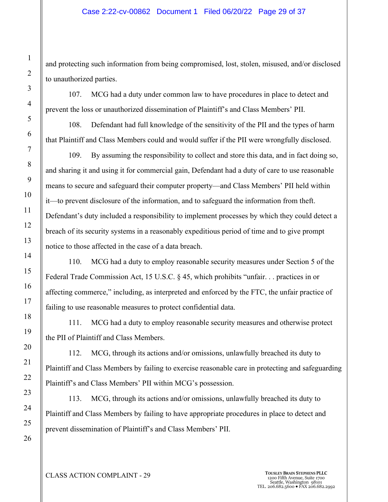and protecting such information from being compromised, lost, stolen, misused, and/or disclosed to unauthorized parties.

107. MCG had a duty under common law to have procedures in place to detect and prevent the loss or unauthorized dissemination of Plaintiff's and Class Members' PII.

108. Defendant had full knowledge of the sensitivity of the PII and the types of harm that Plaintiff and Class Members could and would suffer if the PII were wrongfully disclosed.

109. By assuming the responsibility to collect and store this data, and in fact doing so, and sharing it and using it for commercial gain, Defendant had a duty of care to use reasonable means to secure and safeguard their computer property—and Class Members' PII held within it—to prevent disclosure of the information, and to safeguard the information from theft. Defendant's duty included a responsibility to implement processes by which they could detect a breach of its security systems in a reasonably expeditious period of time and to give prompt notice to those affected in the case of a data breach.

110. MCG had a duty to employ reasonable security measures under Section 5 of the Federal Trade Commission Act, 15 U.S.C. § 45, which prohibits "unfair. . . practices in or affecting commerce," including, as interpreted and enforced by the FTC, the unfair practice of failing to use reasonable measures to protect confidential data.

111. MCG had a duty to employ reasonable security measures and otherwise protect the PII of Plaintiff and Class Members.

112. MCG, through its actions and/or omissions, unlawfully breached its duty to Plaintiff and Class Members by failing to exercise reasonable care in protecting and safeguarding Plaintiff's and Class Members' PII within MCG's possession.

113. MCG, through its actions and/or omissions, unlawfully breached its duty to Plaintiff and Class Members by failing to have appropriate procedures in place to detect and prevent dissemination of Plaintiff's and Class Members' PII.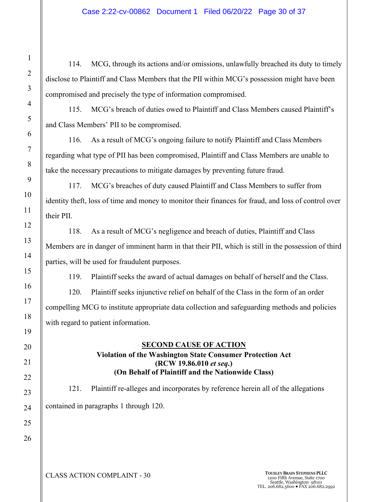114. MCG, through its actions and/or omissions, unlawfully breached its duty to timely disclose to Plaintiff and Class Members that the PII within MCG's possession might have been compromised and precisely the type of information compromised.

115. MCG's breach of duties owed to Plaintiff and Class Members caused Plaintiff's and Class Members' PII to be compromised.

116. As a result of MCG's ongoing failure to notify Plaintiff and Class Members regarding what type of PII has been compromised, Plaintiff and Class Members are unable to take the necessary precautions to mitigate damages by preventing future fraud.

117. MCG's breaches of duty caused Plaintiff and Class Members to suffer from identity theft, loss of time and money to monitor their finances for fraud, and loss of control over their PII.

118. As a result of MCG's negligence and breach of duties, Plaintiff and Class Members are in danger of imminent harm in that their PII, which is still in the possession of third parties, will be used for fraudulent purposes.

119. Plaintiff seeks the award of actual damages on behalf of herself and the Class.

120. Plaintiff seeks injunctive relief on behalf of the Class in the form of an order compelling MCG to institute appropriate data collection and safeguarding methods and policies with regard to patient information.

## **SECOND CAUSE OF ACTION**

## **Violation of the Washington State Consumer Protection Act (RCW 19.86.010** *et seq***.) (On Behalf of Plaintiff and the Nationwide Class)**

121. Plaintiff re-alleges and incorporates by reference herein all of the allegations contained in paragraphs 1 through 120.

**CLASS ACTION COMPLAINT - 30 TOUSLEY BRAIN STEPHENS PLLC** 1200 Fifth Avenue, Suite 1700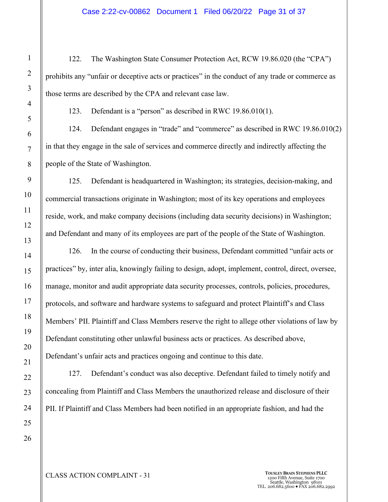#### Case 2:22-cv-00862 Document 1 Filed 06/20/22 Page 31 of 37

122. The Washington State Consumer Protection Act, RCW 19.86.020 (the "CPA") prohibits any "unfair or deceptive acts or practices" in the conduct of any trade or commerce as those terms are described by the CPA and relevant case law.

123. Defendant is a "person" as described in RWC 19.86.010(1).

124. Defendant engages in "trade" and "commerce" as described in RWC 19.86.010(2) in that they engage in the sale of services and commerce directly and indirectly affecting the people of the State of Washington.

125. Defendant is headquartered in Washington; its strategies, decision-making, and commercial transactions originate in Washington; most of its key operations and employees reside, work, and make company decisions (including data security decisions) in Washington; and Defendant and many of its employees are part of the people of the State of Washington.

126. In the course of conducting their business, Defendant committed "unfair acts or practices" by, inter alia, knowingly failing to design, adopt, implement, control, direct, oversee, manage, monitor and audit appropriate data security processes, controls, policies, procedures, protocols, and software and hardware systems to safeguard and protect Plaintiff's and Class Members' PII. Plaintiff and Class Members reserve the right to allege other violations of law by Defendant constituting other unlawful business acts or practices. As described above, Defendant's unfair acts and practices ongoing and continue to this date.

127. Defendant's conduct was also deceptive. Defendant failed to timely notify and concealing from Plaintiff and Class Members the unauthorized release and disclosure of their PII. If Plaintiff and Class Members had been notified in an appropriate fashion, and had the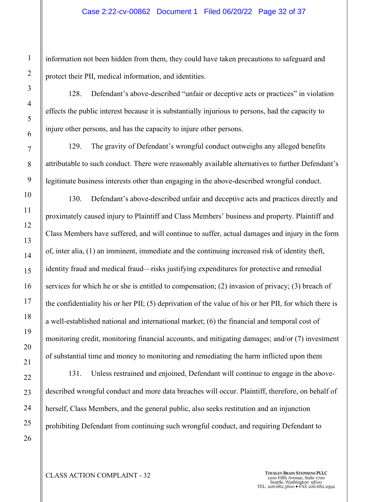information not been hidden from them, they could have taken precautions to safeguard and protect their PII, medical information, and identities.

128. Defendant's above-described "unfair or deceptive acts or practices" in violation effects the public interest because it is substantially injurious to persons, had the capacity to injure other persons, and has the capacity to injure other persons.

129. The gravity of Defendant's wrongful conduct outweighs any alleged benefits attributable to such conduct. There were reasonably available alternatives to further Defendant's legitimate business interests other than engaging in the above-described wrongful conduct.

130. Defendant's above-described unfair and deceptive acts and practices directly and proximately caused injury to Plaintiff and Class Members' business and property. Plaintiff and Class Members have suffered, and will continue to suffer, actual damages and injury in the form of, inter alia, (1) an imminent, immediate and the continuing increased risk of identity theft, identity fraud and medical fraud—risks justifying expenditures for protective and remedial services for which he or she is entitled to compensation; (2) invasion of privacy; (3) breach of the confidentiality his or her PII; (5) deprivation of the value of his or her PII, for which there is a well-established national and international market; (6) the financial and temporal cost of monitoring credit, monitoring financial accounts, and mitigating damages; and/or (7) investment of substantial time and money to monitoring and remediating the harm inflicted upon them

131. Unless restrained and enjoined, Defendant will continue to engage in the abovedescribed wrongful conduct and more data breaches will occur. Plaintiff, therefore, on behalf of herself, Class Members, and the general public, also seeks restitution and an injunction prohibiting Defendant from continuing such wrongful conduct, and requiring Defendant to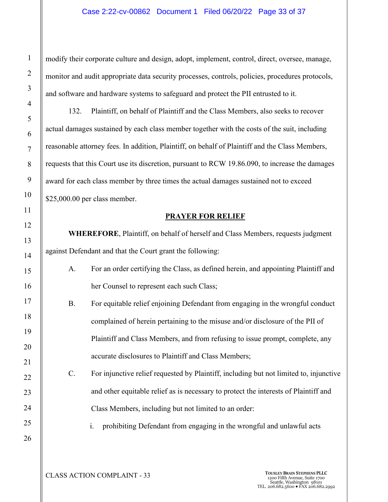modify their corporate culture and design, adopt, implement, control, direct, oversee, manage, monitor and audit appropriate data security processes, controls, policies, procedures protocols, and software and hardware systems to safeguard and protect the PII entrusted to it.

132. Plaintiff, on behalf of Plaintiff and the Class Members, also seeks to recover actual damages sustained by each class member together with the costs of the suit, including reasonable attorney fees. In addition, Plaintiff, on behalf of Plaintiff and the Class Members, requests that this Court use its discretion, pursuant to RCW 19.86.090, to increase the damages award for each class member by three times the actual damages sustained not to exceed \$25,000.00 per class member.

## **PRAYER FOR RELIEF**

**WHEREFORE**, Plaintiff, on behalf of herself and Class Members, requests judgment against Defendant and that the Court grant the following:

| For an order certifying the Class, as defined herein, and appointing Plaintiff and |
|------------------------------------------------------------------------------------|
| her Counsel to represent each such Class;                                          |

| <b>B.</b> | For equitable relief enjoining Defendant from engaging in the wrongful conduct |
|-----------|--------------------------------------------------------------------------------|
|           | complained of herein pertaining to the misuse and/or disclosure of the PII of  |
|           | Plaintiff and Class Members, and from refusing to issue prompt, complete, any  |
|           | accurate disclosures to Plaintiff and Class Members;                           |

C. For injunctive relief requested by Plaintiff, including but not limited to, injunctive and other equitable relief as is necessary to protect the interests of Plaintiff and Class Members, including but not limited to an order:

i. prohibiting Defendant from engaging in the wrongful and unlawful acts

26

1

2

3

4

5

6

7

8

9

10

11

12

13

14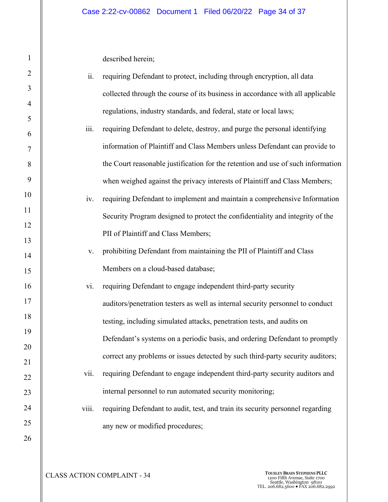described herein;

1

| $\sqrt{2}$     | ii.            | requiring Defendant to protect, including through encryption, all data           |
|----------------|----------------|----------------------------------------------------------------------------------|
| 3              |                | collected through the course of its business in accordance with all applicable   |
| $\overline{4}$ |                | regulations, industry standards, and federal, state or local laws;               |
| 5              | iii.           | requiring Defendant to delete, destroy, and purge the personal identifying       |
| 6              |                |                                                                                  |
| 7              |                | information of Plaintiff and Class Members unless Defendant can provide to       |
| 8              |                | the Court reasonable justification for the retention and use of such information |
| 9              |                | when weighed against the privacy interests of Plaintiff and Class Members;       |
| 10             | iv.            | requiring Defendant to implement and maintain a comprehensive Information        |
| 11             |                | Security Program designed to protect the confidentiality and integrity of the    |
| 12             |                | PII of Plaintiff and Class Members;                                              |
| 13             | $\mathbf{V}$ . | prohibiting Defendant from maintaining the PII of Plaintiff and Class            |
| 14             |                | Members on a cloud-based database;                                               |
| 15             |                |                                                                                  |
| 16             | vi.            | requiring Defendant to engage independent third-party security                   |
| 17             |                | auditors/penetration testers as well as internal security personnel to conduct   |
| 18             |                | testing, including simulated attacks, penetration tests, and audits on           |
| 19             |                | Defendant's systems on a periodic basis, and ordering Defendant to promptly      |
| 20             |                | correct any problems or issues detected by such third-party security auditors;   |
| 21             | vii.           | requiring Defendant to engage independent third-party security auditors and      |
| 22<br>23       |                | internal personnel to run automated security monitoring;                         |
| 24             | viii.          |                                                                                  |
| 25             |                | requiring Defendant to audit, test, and train its security personnel regarding   |
|                |                | any new or modified procedures;                                                  |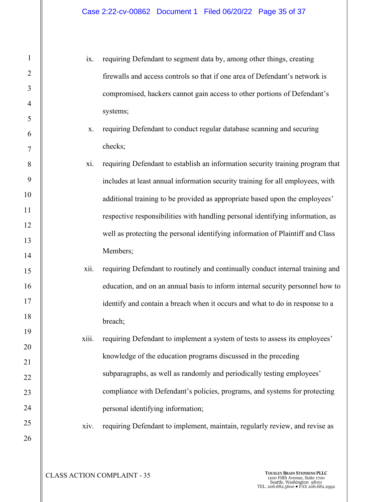ix. requiring Defendant to segment data by, among other things, creating firewalls and access controls so that if one area of Defendant's network is compromised, hackers cannot gain access to other portions of Defendant's systems;

- x. requiring Defendant to conduct regular database scanning and securing checks;
- xi. requiring Defendant to establish an information security training program that includes at least annual information security training for all employees, with additional training to be provided as appropriate based upon the employees' respective responsibilities with handling personal identifying information, as well as protecting the personal identifying information of Plaintiff and Class Members;
- xii. requiring Defendant to routinely and continually conduct internal training and education, and on an annual basis to inform internal security personnel how to identify and contain a breach when it occurs and what to do in response to a breach;
- xiii. requiring Defendant to implement a system of tests to assess its employees' knowledge of the education programs discussed in the preceding subparagraphs, as well as randomly and periodically testing employees' compliance with Defendant's policies, programs, and systems for protecting personal identifying information;
- xiv. requiring Defendant to implement, maintain, regularly review, and revise as

1

2

3

4

5

6

7

8

9

10

11

12

13

14

15

16

17

18

19

20

21

22

23

24

25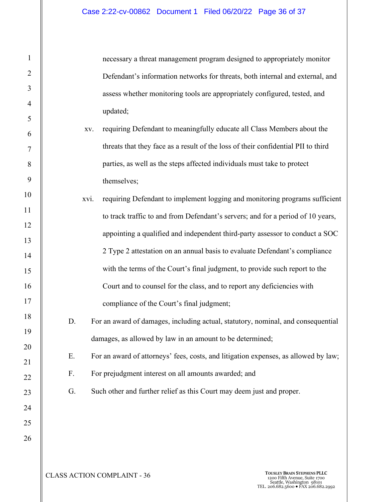necessary a threat management program designed to appropriately monitor Defendant's information networks for threats, both internal and external, and assess whether monitoring tools are appropriately configured, tested, and updated;

- xv. requiring Defendant to meaningfully educate all Class Members about the threats that they face as a result of the loss of their confidential PII to third parties, as well as the steps affected individuals must take to protect themselves;
- xvi. requiring Defendant to implement logging and monitoring programs sufficient to track traffic to and from Defendant's servers; and for a period of 10 years, appointing a qualified and independent third-party assessor to conduct a SOC 2 Type 2 attestation on an annual basis to evaluate Defendant's compliance with the terms of the Court's final judgment, to provide such report to the Court and to counsel for the class, and to report any deficiencies with compliance of the Court's final judgment;
	- D. For an award of damages, including actual, statutory, nominal, and consequential damages, as allowed by law in an amount to be determined;
	- E. For an award of attorneys' fees, costs, and litigation expenses, as allowed by law;
	- F. For prejudgment interest on all amounts awarded; and
	- G. Such other and further relief as this Court may deem just and proper.

1

2

3

4

5

6

7

8

9

10

11

12

13

14

15

16

17

18

19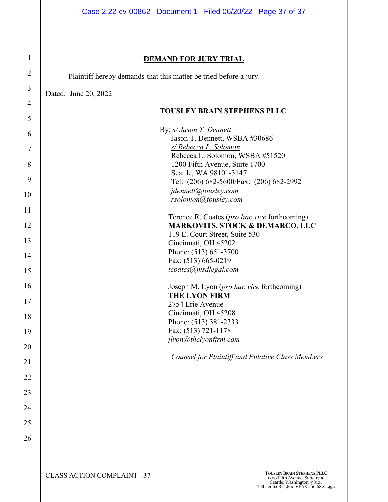## **DEMAND FOR JURY TRIAL**

Plaintiff hereby demands that this matter be tried before a jury.

Dated: June 20, 2022

1

2

| 4      |                                                                                            |
|--------|--------------------------------------------------------------------------------------------|
| 5      | <b>TOUSLEY BRAIN STEPHENS PLLC</b>                                                         |
| 6      | By: s/ Jason T. Dennett<br>Jason T. Dennett, WSBA #30686                                   |
| $\tau$ | s/ Rebecca L. Solomon                                                                      |
| 8      | Rebecca L. Solomon, WSBA #51520<br>1200 Fifth Avenue, Suite 1700                           |
| 9      | Seattle, WA 98101-3147<br>Tel: (206) 682-5600/Fax: (206) 682-2992                          |
| 10     | jdennett@tousley.com<br>rsolomon@tousley.com                                               |
| 11     |                                                                                            |
| 12     | Terence R. Coates (pro hac vice forthcoming)<br><b>MARKOVITS, STOCK &amp; DEMARCO, LLC</b> |
| 13     | 119 E. Court Street, Suite 530<br>Cincinnati, OH 45202                                     |
|        | Phone: (513) 651-3700                                                                      |
| 14     | Fax: (513) 665-0219                                                                        |
| 15     | tcoates@msdlegal.com                                                                       |
| 16     | Joseph M. Lyon (pro hac vice forthcoming)                                                  |
| 17     | <b>THE LYON FIRM</b><br>2754 Erie Avenue                                                   |
| 18     | Cincinnati, OH 45208                                                                       |
|        | Phone: (513) 381-2333<br>Fax: (513) 721-1178                                               |
| 19     | jlyon@thelyonfirm.com                                                                      |
| 20     |                                                                                            |
| 21     | <b>Counsel for Plaintiff and Putative Class Members</b>                                    |
| 22     |                                                                                            |
| 23     |                                                                                            |
| 24     |                                                                                            |
| 25     |                                                                                            |
| 26     |                                                                                            |
|        |                                                                                            |